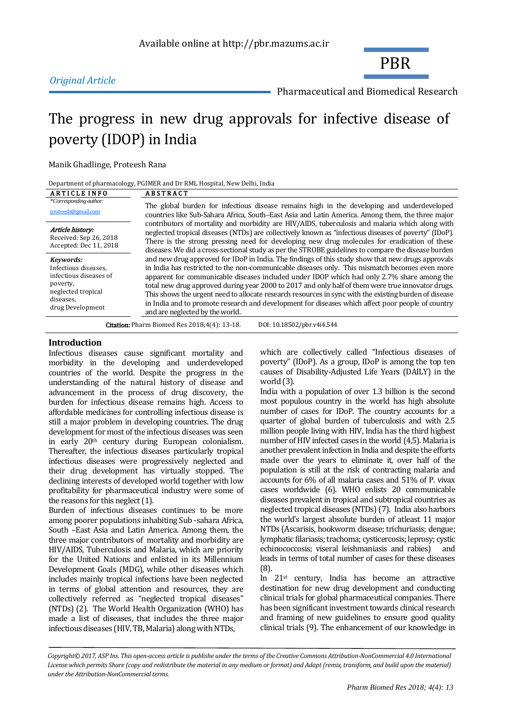

Pharmaceutical and Biomedical Research

PBR

# The progress in new drug approvals for infective disease of poverty (IDOP) in India

Manik Ghadlinge, Proteesh Rana

Department of pharmacology, PGIMER and Dr RML Hospital, New Delhi, India

| <b>ARTICLE INFO</b>                                                                                                            | <b>ABSTRACT</b>                                                                                                                                                                                                                                                                                                                                                                                                                                                                                                                                                                                                                                                                                                                                                                                                                                                                                                                                                                                                                                                                                                                                                                                                                                                              |  |  |  |
|--------------------------------------------------------------------------------------------------------------------------------|------------------------------------------------------------------------------------------------------------------------------------------------------------------------------------------------------------------------------------------------------------------------------------------------------------------------------------------------------------------------------------------------------------------------------------------------------------------------------------------------------------------------------------------------------------------------------------------------------------------------------------------------------------------------------------------------------------------------------------------------------------------------------------------------------------------------------------------------------------------------------------------------------------------------------------------------------------------------------------------------------------------------------------------------------------------------------------------------------------------------------------------------------------------------------------------------------------------------------------------------------------------------------|--|--|--|
| *Corresponding author:<br>proteesh@gmail.com                                                                                   | The global burden for infectious disease remains high in the developing and underdeveloped<br>countries like Sub-Sahara Africa, South-East Asia and Latin America. Among them, the three major<br>contributors of mortality and morbidity are HIV/AIDS, tuberculosis and malaria which along with<br>neglected tropical diseases (NTDs) are collectively known as "infectious diseases of poverty" (IDoP).<br>There is the strong pressing need for developing new drug molecules for eradication of these<br>diseases. We did a cross-sectional study as per the STROBE guidelines to compare the disease burden<br>and new drug approved for IDoP in India. The findings of this study show that new drugs approvals<br>in India has restricted to the non-communicable diseases only. This mismatch becomes even more<br>apparent for communicable diseases included under IDOP which had only 2.7% share among the<br>total new drug approved during year 2000 to 2017 and only half of them were true innovator drugs.<br>This shows the urgent need to allocate research resources in sync with the existing burden of disease<br>in India and to promote research and development for diseases which affect poor people of country<br>and are neglected by the world. |  |  |  |
| Article history:<br>Received: Sep 26, 2018<br>Accepted: Dec 11, 2018                                                           |                                                                                                                                                                                                                                                                                                                                                                                                                                                                                                                                                                                                                                                                                                                                                                                                                                                                                                                                                                                                                                                                                                                                                                                                                                                                              |  |  |  |
| Kevwords:<br>Infectious diseases,<br>infectious diseases of<br>poverty,<br>neglected tropical<br>diseases.<br>drug Development |                                                                                                                                                                                                                                                                                                                                                                                                                                                                                                                                                                                                                                                                                                                                                                                                                                                                                                                                                                                                                                                                                                                                                                                                                                                                              |  |  |  |
|                                                                                                                                | <b>Citation:</b> Pharm Biomed Res 2018;4(4): 13-18.<br>DOI: 10.18502/pbr.v4i4.544                                                                                                                                                                                                                                                                                                                                                                                                                                                                                                                                                                                                                                                                                                                                                                                                                                                                                                                                                                                                                                                                                                                                                                                            |  |  |  |

# **Introduction**

Infectious diseases cause significant mortality and morbidity in the developing and underdeveloped countries of the world. Despite the progress in the understanding of the natural history of disease and advancement in the process of drug discovery, the burden for infectious disease remains high. Access to affordable medicines for controlling infectious disease is still a major problem in developing countries. The drug development for most of the infectious diseases was seen in early 20th century during European colonialism. Thereafter, the infectious diseases particularly tropical infectious diseases were progressively neglected and their drug development has virtually stopped. The declining interests of developed world together with low profitability for pharmaceutical industry were some of the reasons for this neglect (1).

Burden of infectious diseases continues to be more among poorer populations inhabiting Sub -sahara Africa, South –East Asia and Latin America. Among them, the three major contributors of mortality and morbidity are HIV/AIDS, Tuberculosis and Malaria, which are priority for the United Nations and enlisted in its Millennium Development Goals (MDG), while other diseases which includes mainly tropical infections have been neglected in terms of global attention and resources, they are collectively referred as "neglected tropical diseases" (NTDs) (2). The World Health Organization (WHO) has made a list of diseases, that includes the three major infectious diseases (HIV, TB, Malaria) along with NTDs,

which are collectively called "Infectious diseases of poverty" (IDoP). As a group, IDoP is among the top ten causes of Disability-Adjusted Life Years (DAILY) in the world (3).

India with a population of over 1.3 billion is the second most populous country in the world has high absolute number of cases for IDoP. The country accounts for a quarter of global burden of tuberculosis and with 2.5 million people living with HIV, India has the third highest number of HIV infected cases in the world (4,5). Malaria is another prevalent infection in India and despite the efforts made over the years to eliminate it, over half of the population is still at the risk of contracting malaria and accounts for 6% of all malaria cases and 51% of P. vivax cases worldwide (6). WHO enlists 20 communicable diseases prevalent in tropical and subtropical countries as neglected tropical diseases (NTDs) (7). India also harbors the world's largest absolute burden of atleast 11 major NTDs (Ascarisis, hookworm disease; trichuriasis; dengue; lymphatic filariasis; trachoma; cysticercosis; leprosy; cystic echinococcosis; viseral leishmaniasis and rabies) and leads in terms of total number of cases for these diseases (8).

In 21st century, India has become an attractive destination for new drug development and conducting clinical trials for global pharmaceutical companies. There has been significant investment towards clinical research and framing of new guidelines to ensure good quality clinical trials (9). The enhancement of our knowledge in

*Copyright© 2017, ASP Ins. This open-access article is publishe under the terms of the Creative Commons Attribution-NonCommercial 4.0 International License which permits Share (copy and redistribute the material in any medium or format) and Adapt (remix, transform, and build upon the material) under the Attribution-NonCommercial terms.*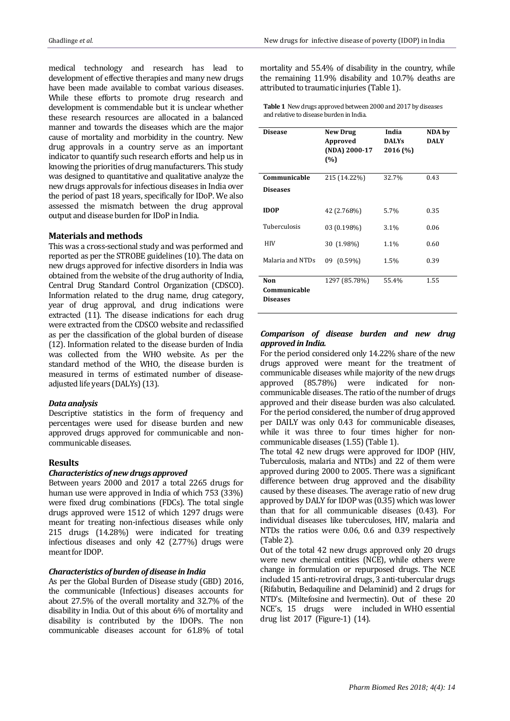medical technology and research has lead to development of effective therapies and many new drugs have been made available to combat various diseases. While these efforts to promote drug research and development is commendable but it is unclear whether these research resources are allocated in a balanced manner and towards the diseases which are the major cause of mortality and morbidity in the country. New drug approvals in a country serve as an important indicator to quantify such research efforts and help us in knowing the priorities of drug manufacturers. This study was designed to quantitative and qualitative analyze the new drugs approvals for infectious diseases in India over the period of past 18 years, specifically for IDoP. We also assessed the mismatch between the drug approval output and disease burden for IDoP in India.

## **Materials and methods**

This was a cross-sectional study and was performed and reported as per the STROBE guidelines (10). The data on new drugs approved for infective disorders in India was obtained from the website of the drug authority of India, Central Drug Standard Control Organization (CDSCO). Information related to the drug name, drug category, year of drug approval, and drug indications were extracted (11). The disease indications for each drug were extracted from the CDSCO website and reclassified as per the classification of the global burden of disease (12). Information related to the disease burden of India was collected from the WHO website. As per the standard method of the WHO, the disease burden is measured in terms of estimated number of diseaseadjusted life years (DALYs) (13).

#### *Data analysis*

Descriptive statistics in the form of frequency and percentages were used for disease burden and new approved drugs approved for communicable and noncommunicable diseases.

#### **Results**

## *Characteristics of new drugs approved*

Between years 2000 and 2017 a total 2265 drugs for human use were approved in India of which 753 (33%) were fixed drug combinations (FDCs). The total single drugs approved were 1512 of which 1297 drugs were meant for treating non-infectious diseases while only 215 drugs (14.28%) were indicated for treating infectious diseases and only 42 (2.77%) drugs were meant for IDOP.

#### *Characteristics of burden of disease in India*

As per the Global Burden of Disease study (GBD) 2016, the communicable (Infectious) diseases accounts for about 27.5% of the overall mortality and 32.7% of the disability in India. Out of this about 6% of mortality and disability is contributed by the IDOPs. The non communicable diseases account for 61.8% of total mortality and 55.4% of disability in the country, while the remaining 11.9% disability and 10.7% deaths are attributed to traumatic injuries (Table 1).

**Table 1** New drugs approved between 2000 and 2017 by diseases and relative to disease burden in India.

| Disease                                | <b>New Drug</b><br>Approved<br>(NDA) 2000-17<br>(%) | India<br><b>DALYs</b><br>2016 (%) | NDA by<br><b>DALY</b> |
|----------------------------------------|-----------------------------------------------------|-----------------------------------|-----------------------|
| Communicable                           | 215 (14.22%)                                        | 32.7%                             | 0.43                  |
| <b>Diseases</b>                        |                                                     |                                   |                       |
| <b>IDOP</b>                            | 42 (2.768%)                                         | 5.7%                              | 0.35                  |
| Tuberculosis                           | 03 (0.198%)                                         | 3.1%                              | 0.06                  |
| HIV                                    | 30 (1.98%)                                          | 1.1%                              | 0.60                  |
| Malaria and NTDs                       | 09 (0.59%)                                          | 1.5%                              | 0.39                  |
| Non<br>Communicable<br><b>Diseases</b> | 1297 (85.78%)                                       | 55.4%                             | 1.55                  |

# *Comparison of disease burden and new drug approved in India.*

For the period considered only 14.22% share of the new drugs approved were meant for the treatment of communicable diseases while majority of the new drugs approved (85.78%) were indicated for noncommunicable diseases. The ratio of the number of drugs approved and their disease burden was also calculated. For the period considered, the number of drug approved per DAILY was only 0.43 for communicable diseases, while it was three to four times higher for noncommunicable diseases (1.55) (Table 1).

The total 42 new drugs were approved for IDOP (HIV, Tuberculosis, malaria and NTDs) and 22 of them were approved during 2000 to 2005. There was a significant difference between drug approved and the disability caused by these diseases. The average ratio of new drug approved by DALY for IDOP was (0.35) which was lower than that for all communicable diseases (0.43). For individual diseases like tuberculoses, HIV, malaria and NTDs the ratios were 0.06, 0.6 and 0.39 respectively (Table 2).

Out of the total 42 new drugs approved only 20 drugs were new chemical entities (NCE), while others were change in formulation or repurposed drugs. The NCE included 15 anti-retroviral drugs, 3 anti-tubercular drugs (Rifabutin, Bedaquiline and Delaminid) and 2 drugs for NTD's. (Miltefosine and Ivermectin). Out of these 20 NCE's, 15 drugs were included in WHO essential drug list 2017 (Figure-1) (14).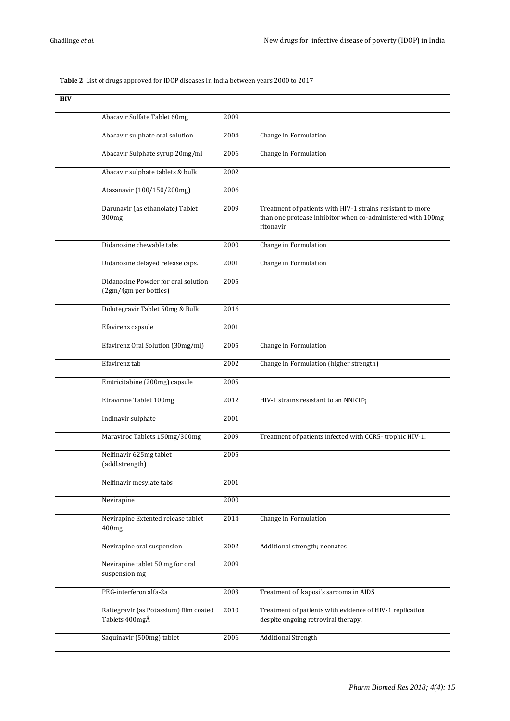# **Table 2** List of drugs approved for IDOP diseases in India between years 2000 to 2017

| <b>HIV</b> |                                                              |      |                                                                                                                                        |
|------------|--------------------------------------------------------------|------|----------------------------------------------------------------------------------------------------------------------------------------|
|            | Abacavir Sulfate Tablet 60mg                                 | 2009 |                                                                                                                                        |
|            | Abacavir sulphate oral solution                              | 2004 | Change in Formulation                                                                                                                  |
|            | Abacavir Sulphate syrup 20mg/ml                              | 2006 | Change in Formulation                                                                                                                  |
|            | Abacavir sulphate tablets & bulk                             | 2002 |                                                                                                                                        |
|            | Atazanavir (100/150/200mg)                                   | 2006 |                                                                                                                                        |
|            | Darunavir (as ethanolate) Tablet<br>300 <sub>mg</sub>        | 2009 | Treatment of patients with HIV-1 strains resistant to more<br>than one protease inhibitor when co-administered with 100mg<br>ritonavir |
|            | Didanosine chewable tabs                                     | 2000 | Change in Formulation                                                                                                                  |
|            | Didanosine delayed release caps.                             | 2001 | Change in Formulation                                                                                                                  |
|            | Didanosine Powder for oral solution<br>(2gm/4gm per bottles) | 2005 |                                                                                                                                        |
|            | Dolutegravir Tablet 50mg & Bulk                              | 2016 |                                                                                                                                        |
|            | Efavirenz capsule                                            | 2001 |                                                                                                                                        |
|            | Efavirenz Oral Solution (30mg/ml)                            | 2005 | Change in Formulation                                                                                                                  |
|            | Efavirenz tab                                                | 2002 | Change in Formulation (higher strength)                                                                                                |
|            | Emtricitabine (200mg) capsule                                | 2005 |                                                                                                                                        |
|            | <b>Etravirine Tablet 100mg</b>                               | 2012 | HIV-1 strains resistant to an NNRTP;                                                                                                   |
|            | Indinavir sulphate                                           | 2001 |                                                                                                                                        |
|            | Maraviroc Tablets 150mg/300mg                                | 2009 | Treatment of patients infected with CCR5-trophic HIV-1.                                                                                |
|            | Nelfinavir 625mg tablet<br>(addl.strength)                   | 2005 |                                                                                                                                        |
|            | Nelfinavir mesylate tabs                                     | 2001 |                                                                                                                                        |
|            | Nevirapine                                                   | 2000 |                                                                                                                                        |
|            | Nevirapine Extented release tablet<br>400mg                  | 2014 | Change in Formulation                                                                                                                  |
|            | Nevirapine oral suspension                                   | 2002 | Additional strength; neonates                                                                                                          |
|            | Nevirapine tablet 50 mg for oral<br>suspension mg            | 2009 |                                                                                                                                        |
|            | PEG-interferon alfa-2a                                       | 2003 | Treatment of kaposi's sarcoma in AIDS                                                                                                  |
|            | Raltegravir (as Potassium) film coated<br>Tablets 400mgÂ     | 2010 | Treatment of patients with evidence of HIV-1 replication<br>despite ongoing retroviral therapy.                                        |
|            | Saquinavir (500mg) tablet                                    | 2006 | <b>Additional Strength</b>                                                                                                             |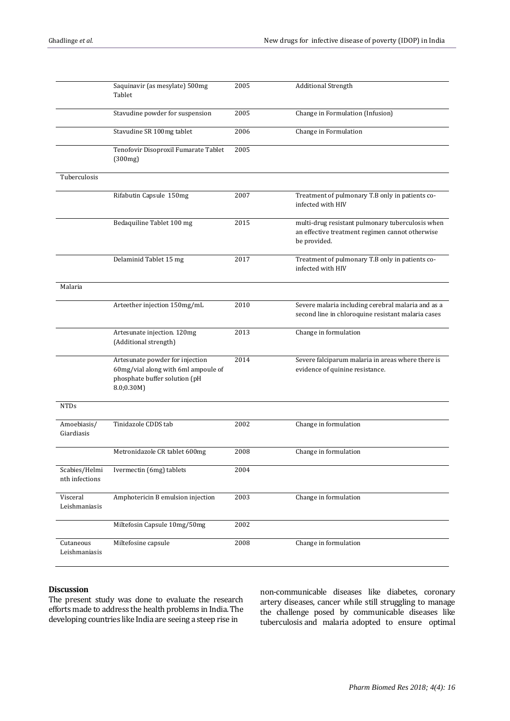|                                 | Saquinavir (as mesylate) 500mg<br>Tablet                                                                              | 2005 | <b>Additional Strength</b>                                                                                          |
|---------------------------------|-----------------------------------------------------------------------------------------------------------------------|------|---------------------------------------------------------------------------------------------------------------------|
|                                 | Stavudine powder for suspension                                                                                       | 2005 | Change in Formulation (Infusion)                                                                                    |
|                                 | Stavudine SR 100mg tablet                                                                                             | 2006 | Change in Formulation                                                                                               |
|                                 | Tenofovir Disoproxil Fumarate Tablet<br>(300mg)                                                                       | 2005 |                                                                                                                     |
| Tuberculosis                    |                                                                                                                       |      |                                                                                                                     |
|                                 | Rifabutin Capsule 150mg                                                                                               | 2007 | Treatment of pulmonary T.B only in patients co-<br>infected with HIV                                                |
|                                 | Bedaquiline Tablet 100 mg                                                                                             | 2015 | multi-drug resistant pulmonary tuberculosis when<br>an effective treatment regimen cannot otherwise<br>be provided. |
|                                 | Delaminid Tablet 15 mg                                                                                                | 2017 | Treatment of pulmonary T.B only in patients co-<br>infected with HIV                                                |
| Malaria                         |                                                                                                                       |      |                                                                                                                     |
|                                 | Arteether injection 150mg/mL                                                                                          | 2010 | Severe malaria including cerebral malaria and as a<br>second line in chloroquine resistant malaria cases            |
|                                 | Artesunate injection. 120mg<br>(Additional strength)                                                                  | 2013 | Change in formulation                                                                                               |
|                                 | Artesunate powder for injection<br>60mg/vial along with 6ml ampoule of<br>phosphate buffer solution (pH<br>8.0; 0.30M | 2014 | Severe falciparum malaria in areas where there is<br>evidence of quinine resistance.                                |
| <b>NTDs</b>                     |                                                                                                                       |      |                                                                                                                     |
| Amoebiasis/<br>Giardiasis       | Tinidazole CDDS tab                                                                                                   | 2002 | Change in formulation                                                                                               |
|                                 | Metronidazole CR tablet 600mg                                                                                         | 2008 | Change in formulation                                                                                               |
| Scabies/Helmi<br>nth infections | Ivermectin (6mg) tablets                                                                                              | 2004 |                                                                                                                     |
| Visceral<br>Leishmaniasis       | Amphotericin B emulsion injection                                                                                     | 2003 | Change in formulation                                                                                               |
|                                 | Miltefosin Capsule 10mg/50mg                                                                                          | 2002 |                                                                                                                     |
| Cutaneous<br>Leishmaniasis      | Miltefosine capsule                                                                                                   | 2008 | Change in formulation                                                                                               |

# **Discussion**

The present study was done to evaluate the research efforts made to address the health problems in India. The developing countries like India are seeing a steep rise in

non-communicable diseases like diabetes, coronary artery diseases, cancer while still struggling to manage the challenge posed by communicable diseases like tuberculosis and malaria adopted to ensure optimal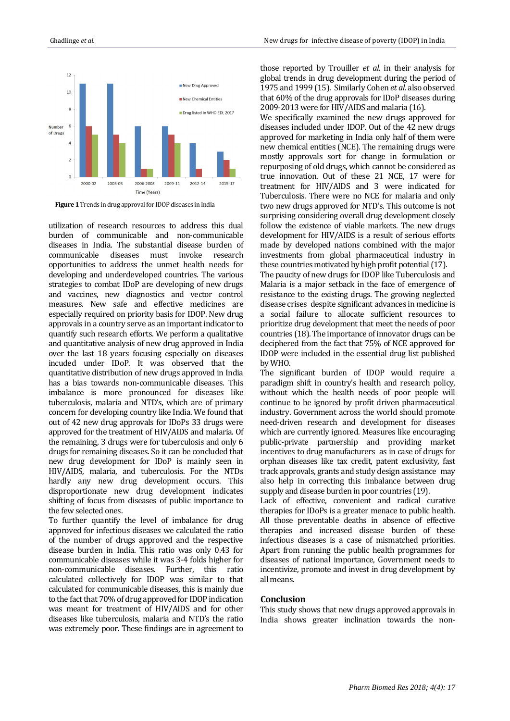

**Figure 1**Trends in drug approval for IDOP diseases in India

utilization of research resources to address this dual burden of communicable and non-communicable diseases in India. The substantial disease burden of communicable diseases must invoke research opportunities to address the unmet health needs for developing and underdeveloped countries. The various strategies to combat IDoP are developing of new drugs and vaccines, new diagnostics and vector control measures. New safe and effective medicines are especially required on priority basis for IDOP. New drug approvals in a country serve as an important indicator to quantify such research efforts. We perform a qualitative and quantitative analysis of new drug approved in India over the last 18 years focusing especially on diseases incuded under IDoP. It was observed that the quantitative distribution of new drugs approved in India has a bias towards non-communicable diseases. This imbalance is more pronounced for diseases like tuberculosis, malaria and NTD's, which are of primary concern for developing country like India. We found that out of 42 new drug approvals for IDoPs 33 drugs were approved for the treatment of HIV/AIDS and malaria. Of the remaining, 3 drugs were for tuberculosis and only 6 drugs for remaining diseases. So it can be concluded that new drug development for IDoP is mainly seen in HIV/AIDS, malaria, and tuberculosis. For the NTDs hardly any new drug development occurs. This disproportionate new drug development indicates shifting of focus from diseases of public importance to the few selected ones.

To further quantify the level of imbalance for drug approved for infectious diseases we calculated the ratio of the number of drugs approved and the respective disease burden in India. This ratio was only 0.43 for communicable diseases while it was 3-4 folds higher for non-communicable diseases. Further, this ratio calculated collectively for IDOP was similar to that calculated for communicable diseases, this is mainly due to the fact that 70% of drug approved for IDOP indication was meant for treatment of HIV/AIDS and for other diseases like tuberculosis, malaria and NTD's the ratio was extremely poor. These findings are in agreement to

those reported by Trouiller *et al.* in their analysis for global trends in drug development during the period of 1975 and 1999 (15). Similarly Cohen *et al.* also observed that 60% of the drug approvals for IDoP diseases during 2009-2013 were for HIV/AIDS and malaria (16).

We specifically examined the new drugs approved for diseases included under IDOP. Out of the 42 new drugs approved for marketing in India only half of them were new chemical entities (NCE). The remaining drugs were mostly approvals sort for change in formulation or repurposing of old drugs, which cannot be considered as true innovation. Out of these 21 NCE, 17 were for treatment for HIV/AIDS and 3 were indicated for Tuberculosis. There were no NCE for malaria and only two new drugs approved for NTD's. This outcome is not surprising considering overall drug development closely follow the existence of viable markets. The new drugs development for HIV/AIDS is a result of serious efforts made by developed nations combined with the major investments from global pharmaceutical industry in these countries motivated by high profit potential (17).

The paucity of new drugs for IDOP like Tuberculosis and Malaria is a major setback in the face of emergence of resistance to the existing drugs. The growing neglected disease crises despite significant advances in medicine is a social failure to allocate sufficient resources to prioritize drug development that meet the needs of poor countries (18). The importance of innovator drugs can be deciphered from the fact that 75% of NCE approved for IDOP were included in the essential drug list published by WHO.

The significant burden of IDOP would require a paradigm shift in country's health and research policy, without which the health needs of poor people will continue to be ignored by profit driven pharmaceutical industry. Government across the world should promote need-driven research and development for diseases which are currently ignored. Measures like encouraging public-private partnership and providing market incentives to drug manufacturers as in case of drugs for orphan diseases like tax credit, patent exclusivity, fast track approvals, grants and study design assistance may also help in correcting this imbalance between drug supply and disease burden in poor countries (19).

Lack of effective, convenient and radical curative therapies for IDoPs is a greater menace to public health. All those preventable deaths in absence of effective therapies and increased disease burden of these infectious diseases is a case of mismatched priorities. Apart from running the public health programmes for diseases of national importance, Government needs to incentivize, promote and invest in drug development by all means.

## **Conclusion**

This study shows that new drugs approved approvals in India shows greater inclination towards the non